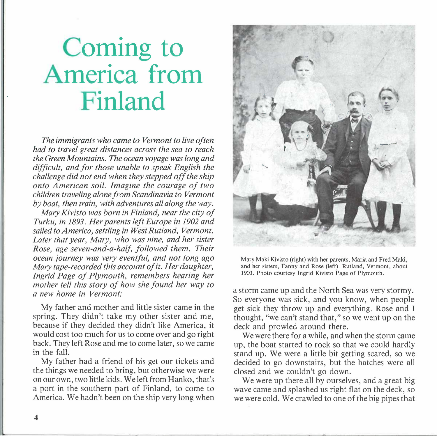## **Coming to America from Finland**

*The immigrants who came to Vermont to live often had to travel great distances across the sea to reach the Green Mountains. The ocean voyage was long and dif icult, and for those unable to speak English the challenge did not end when they stepped off the ship onto American soil. Imagine the courage of two children traveling alone from Scandinavia to Vermont by boat, then train, with adventures all along the way.* 

*Mary Kivisto was born in Finland, near the city of Turku, in 1893. Her parents left Europe in 1902 and sailed to America, settling in West Rutland, Vermont. Later that year, Mary, who was nine, and her sister Rose, age seven-and-a-half, followed them. Their ocean journey was very eventful, and not long ago Mary tape-recorded this account of it. Her daughter, Ingrid Page of Plymouth, remembers hearing her mother tell this story of how she found her way to a new home in Vermont:* 

My father and mother and little sister came in the spring. They didn't take my other sister and me, because if they decided they didn't like America, it would cost too much for us to come over and go right back. They left Rose and me to come later, so we came in the fall.

My father had a friend of his get our tickets and the things we needed to bring, but otherwise we were on our own, two little kids. We left from Hanko, that's a port in the southern part of Finland, to come to America. We hadn't been on the ship very long when



Mary Maki Kivisto (right) with her parents, Maria and Fred Maki, and her sisters, Fanny and Rose (left). Rutland, Vermont, about 1903. Photo courtesy Ingrid Kivisto Page of Plymouth.

a storm came up and the North Sea was very stormy. So everyone was sick, and you know, when people get sick they throw up and everything. Rose and I thought, "we can't stand that," so we went up on the deck and prowled around there.

We were there for a while, and when the storm came up, the boat started to rock so that we could hardly stand up. We were a little bit getting scared, so we decided to go downstairs, but the hatches were all closed and we couldn't go down.

We were up there all by ourselves, and a great big wave came and splashed us right flat on the deck, so we were cold. We crawled to one of the big pipes that